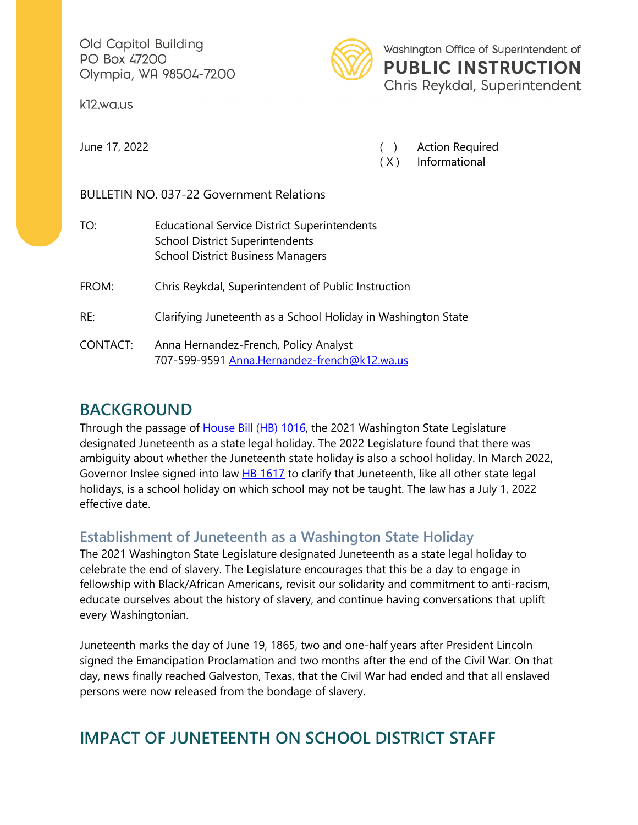Old Capitol Building PO Box 47200 Olympia, WA 98504-7200

k12.wa.us



Washington Office of Superintendent of **PUBLIC INSTRUCTION** Chris Reykdal, Superintendent

June 17, 2022 ( ) Action Required

( X ) Informational

BULLETIN NO. 037-22 Government Relations

| TO:      | <b>Educational Service District Superintendents</b><br><b>School District Superintendents</b><br><b>School District Business Managers</b> |
|----------|-------------------------------------------------------------------------------------------------------------------------------------------|
| FROM:    | Chris Reykdal, Superintendent of Public Instruction                                                                                       |
| RE:      | Clarifying Juneteenth as a School Holiday in Washington State                                                                             |
| CONTACT: | Anna Hernandez-French, Policy Analyst<br>707-599-9591 Anna.Hernandez-french@k12.wa.us                                                     |

### **BACKGROUND**

Through the passage of [House Bill \(HB\) 1016,](https://lawfilesext.leg.wa.gov/biennium/2021-22/Pdf/Bills/Session%20Laws/House/1016-S.SL.pdf?q=20220513100233) the 2021 Washington State Legislature designated Juneteenth as a state legal holiday. The 2022 Legislature found that there was ambiguity about whether the Juneteenth state holiday is also a school holiday. In March 2022, Governor Inslee signed into law [HB 1617](https://lawfilesext.leg.wa.gov/biennium/2021-22/Pdf/Bills/Session%20Laws/House/1617-S.SL.pdf?q=20220512135822) to clarify that Juneteenth, like all other state legal holidays, is a school holiday on which school may not be taught. The law has a July 1, 2022 effective date.

#### **Establishment of Juneteenth as a Washington State Holiday**

The 2021 Washington State Legislature designated Juneteenth as a state legal holiday to celebrate the end of slavery. The Legislature encourages that this be a day to engage in fellowship with Black/African Americans, revisit our solidarity and commitment to anti-racism, educate ourselves about the history of slavery, and continue having conversations that uplift every Washingtonian.

Juneteenth marks the day of June 19, 1865, two and one-half years after President Lincoln signed the Emancipation Proclamation and two months after the end of the Civil War. On that day, news finally reached Galveston, Texas, that the Civil War had ended and that all enslaved persons were now released from the bondage of slavery.

# **IMPACT OF JUNETEENTH ON SCHOOL DISTRICT STAFF**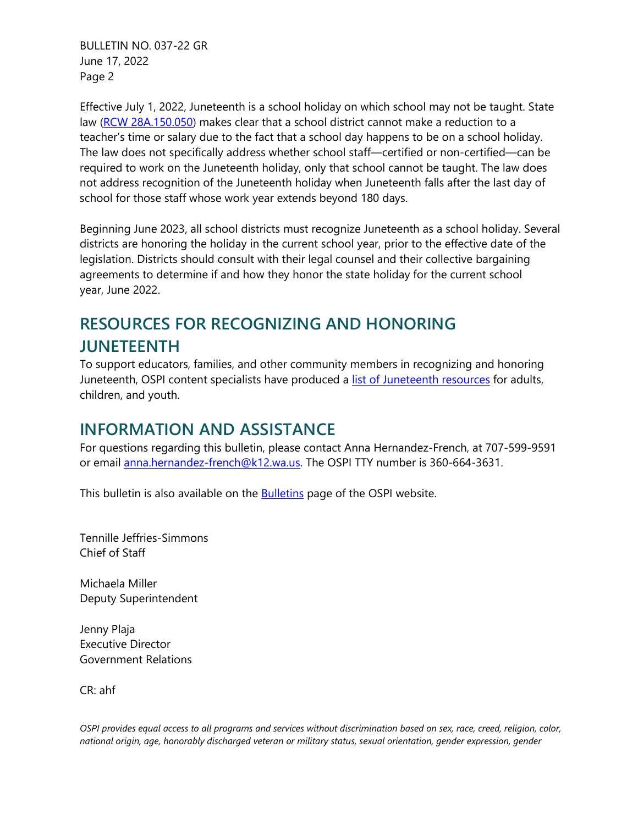BULLETIN NO. 037-22 GR June 17, 2022 Page 2

Effective July 1, 2022, Juneteenth is a school holiday on which school may not be taught. State law [\(RCW 28A.150.050\)](https://app.leg.wa.gov/rcw/default.aspx?cite=28A.150.050) makes clear that a school district cannot make a reduction to a teacher's time or salary due to the fact that a school day happens to be on a school holiday. The law does not specifically address whether school staff—certified or non-certified—can be required to work on the Juneteenth holiday, only that school cannot be taught. The law does not address recognition of the Juneteenth holiday when Juneteenth falls after the last day of school for those staff whose work year extends beyond 180 days.

Beginning June 2023, all school districts must recognize Juneteenth as a school holiday. Several districts are honoring the holiday in the current school year, prior to the effective date of the legislation. Districts should consult with their legal counsel and their collective bargaining agreements to determine if and how they honor the state holiday for the current school year, June 2022.

# **RESOURCES FOR RECOGNIZING AND HONORING JUNETEENTH**

To support educators, families, and other community members in recognizing and honoring Juneteenth, OSPI content specialists have produced a [list of Juneteenth resources](https://waospi.medium.com/juneteenth-resources-for-recognizing-and-learning-1914b0444f93) for adults, children, and youth.

#### **INFORMATION AND ASSISTANCE**

For questions regarding this bulletin, please contact Anna Hernandez-French, at 707-599-9591 or email [anna.hernandez-french@k12.wa.us.](mailto:anna.hernandez-french@k12.wa.us) The OSPI TTY number is 360-664-3631.

This bulletin is also available on the [Bulletins](https://www.k12.wa.us/bulletinsmemos) page of the OSPI website.

Tennille Jeffries-Simmons Chief of Staff

Michaela Miller Deputy Superintendent

Jenny Plaja Executive Director Government Relations

CR: ahf

*OSPI provides equal access to all programs and services without discrimination based on sex, race, creed, religion, color, national origin, age, honorably discharged veteran or military status, sexual orientation, gender expression, gender*